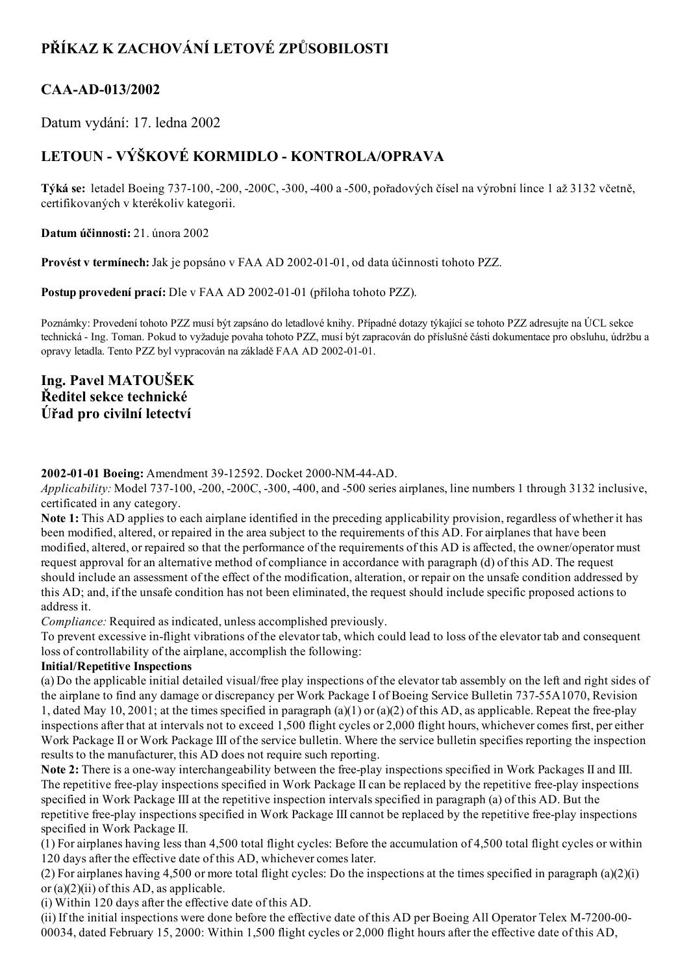# PŘÍKAZ K ZACHOVÁNÍ LETOVÉ ZPŮSOBILOSTI

## CAA-AD-013/2002

Datum vydání: 17. ledna 2002

# LETOUN - VÝŠKOVÉ KORMIDLO - KONTROLA/OPRAVA

Týká se: letadel Boeing 737100, 200, 200C, 300, 400 a 500, pořadových čísel na výrobní lince 1 až 3132 včetně, certifikovaných v kterékoliv kategorii.

Datum účinnosti: 21. února 2002

Provést v termínech: Jak je popsáno v FAA AD 2002-01-01, od data účinnosti tohoto PZZ.

Postup provedení prací: Dle v FAA AD 2002-01-01 (příloha tohoto PZZ).

Poznámky: Provedení tohoto PZZ musí být zapsáno do letadlové knihy. Případné dotazy týkající se tohoto PZZ adresujte na ÚCL sekce technická Ing. Toman. Pokud to vyžaduje povaha tohoto PZZ, musí být zapracován do příslušné části dokumentace pro obsluhu, údržbu a opravy letadla. Tento PZZ byl vypracován na základě FAA AD 2002-01-01.

### Ing. Pavel MATOUŠEK Ředitel sekce technické Úřad pro civilní letectví

#### 2002-01-01 Boeing: Amendment 39-12592. Docket 2000-NM-44-AD.

Applicability: Model 737-100, -200, -200C, -300, -400, and -500 series airplanes, line numbers 1 through 3132 inclusive, certificated in any category.

Note 1: This AD applies to each airplane identified in the preceding applicability provision, regardless of whether it has been modified, altered, or repaired in the area subject to the requirements of this AD. For airplanes that have been modified, altered, or repaired so that the performance of the requirements of this AD is affected, the owner/operator must request approval for an alternative method of compliance in accordance with paragraph (d) of this AD. The request should include an assessment of the effect of the modification, alteration, or repair on the unsafe condition addressed by this AD; and, if the unsafe condition has not been eliminated, the request should include specific proposed actions to address it.

Compliance: Required as indicated, unless accomplished previously.

To prevent excessive in-flight vibrations of the elevator tab, which could lead to loss of the elevator tab and consequent loss of controllability of the airplane, accomplish the following:

#### Initial/Repetitive Inspections

(a) Do the applicable initial detailed visual/free play inspections of the elevator tab assembly on the left and right sides of the airplane to find any damage or discrepancy per Work Package I of Boeing Service Bulletin 737-55A1070, Revision 1, dated May 10, 2001; at the times specified in paragraph  $(a)(1)$  or  $(a)(2)$  of this AD, as applicable. Repeat the free-play inspections after that at intervals not to exceed 1,500 flight cycles or 2,000 flight hours, whichever comes first, per either Work Package II or Work Package III of the service bulletin. Where the service bulletin specifies reporting the inspection results to the manufacturer, this AD does not require such reporting.

Note 2: There is a one-way interchangeability between the free-play inspections specified in Work Packages II and III. The repetitive free-play inspections specified in Work Package II can be replaced by the repetitive free-play inspections specified in Work Package III at the repetitive inspection intervals specified in paragraph (a) of this AD. But the repetitive free-play inspections specified in Work Package III cannot be replaced by the repetitive free-play inspections specified in Work Package II.

(1) For airplanes having less than 4,500 total flight cycles: Before the accumulation of 4,500 total flight cycles or within 120 days after the effective date of this AD, whichever comes later.

(2) For airplanes having 4,500 or more total flight cycles: Do the inspections at the times specified in paragraph  $(a)(2)(i)$ or (a)(2)(ii) of this AD, as applicable.

(i) Within 120 days after the effective date of this AD.

(ii) If the initial inspections were done before the effective date of this AD per Boeing All Operator Telex M-7200-00-00034, dated February 15, 2000: Within 1,500 flight cycles or 2,000 flight hours after the effective date of this AD,